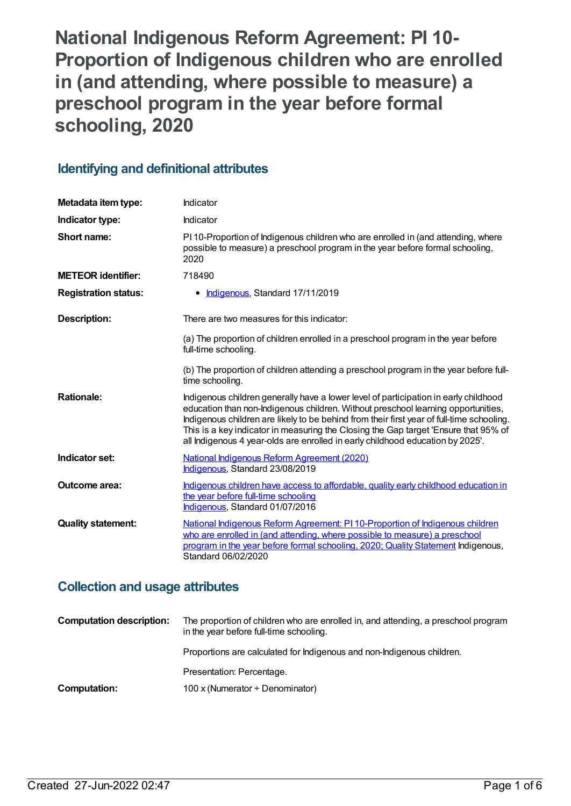**National Indigenous Reform Agreement: PI 10- Proportion of Indigenous children who are enrolled in (and attending, where possible to measure) a preschool program in the year before formal schooling, 2020**

## **Identifying and definitional attributes**

| Metadata item type:         | Indicator                                                                                                                                                                                                                                                                                                                                                                                                                                       |
|-----------------------------|-------------------------------------------------------------------------------------------------------------------------------------------------------------------------------------------------------------------------------------------------------------------------------------------------------------------------------------------------------------------------------------------------------------------------------------------------|
| Indicator type:             | Indicator                                                                                                                                                                                                                                                                                                                                                                                                                                       |
| Short name:                 | PI 10-Proportion of Indigenous children who are enrolled in (and attending, where<br>possible to measure) a preschool program in the year before formal schooling,<br>2020                                                                                                                                                                                                                                                                      |
| <b>METEOR identifier:</b>   | 718490                                                                                                                                                                                                                                                                                                                                                                                                                                          |
| <b>Registration status:</b> | Indigenous, Standard 17/11/2019                                                                                                                                                                                                                                                                                                                                                                                                                 |
| <b>Description:</b>         | There are two measures for this indicator:                                                                                                                                                                                                                                                                                                                                                                                                      |
|                             | (a) The proportion of children enrolled in a preschool program in the year before<br>full-time schooling.                                                                                                                                                                                                                                                                                                                                       |
|                             | (b) The proportion of children attending a preschool program in the year before full-<br>time schooling.                                                                                                                                                                                                                                                                                                                                        |
| <b>Rationale:</b>           | Indigenous children generally have a lower level of participation in early childhood<br>education than non-Indigenous children. Without preschool learning opportunities,<br>Indigenous children are likely to be behind from their first year of full-time schooling.<br>This is a key indicator in measuring the Closing the Gap target 'Ensure that 95% of<br>all Indigenous 4 year-olds are enrolled in early childhood education by 2025'. |
| Indicator set:              | National Indigenous Reform Agreement (2020)<br>Indigenous, Standard 23/08/2019                                                                                                                                                                                                                                                                                                                                                                  |
| Outcome area:               | Indigenous children have access to affordable, quality early childhood education in<br>the year before full-time schooling<br>Indigenous, Standard 01/07/2016                                                                                                                                                                                                                                                                                   |
| <b>Quality statement:</b>   | National Indigenous Reform Agreement: PI 10-Proportion of Indigenous children<br>who are enrolled in (and attending, where possible to measure) a preschool<br>program in the year before formal schooling, 2020; Quality Statement Indigenous,<br>Standard 06/02/2020                                                                                                                                                                          |

## **Collection and usage attributes**

| <b>Computation description:</b> | The proportion of children who are enrolled in, and attending, a preschool program<br>in the year before full-time schooling. |
|---------------------------------|-------------------------------------------------------------------------------------------------------------------------------|
|                                 | Proportions are calculated for Indigenous and non-Indigenous children.                                                        |
|                                 | Presentation: Percentage.                                                                                                     |
| Computation:                    | 100 x (Numerator $\div$ Denominator)                                                                                          |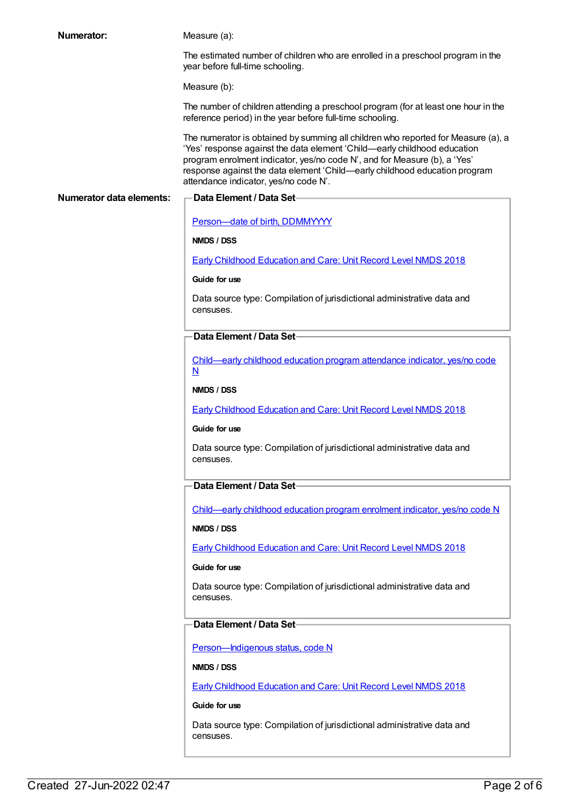| <b>Numerator:</b>               | Measure (a):                                                                                                                                                                                                                                                                                                                                                      |
|---------------------------------|-------------------------------------------------------------------------------------------------------------------------------------------------------------------------------------------------------------------------------------------------------------------------------------------------------------------------------------------------------------------|
|                                 | The estimated number of children who are enrolled in a preschool program in the<br>year before full-time schooling.                                                                                                                                                                                                                                               |
|                                 | Measure (b):                                                                                                                                                                                                                                                                                                                                                      |
|                                 | The number of children attending a preschool program (for at least one hour in the<br>reference period) in the year before full-time schooling.                                                                                                                                                                                                                   |
|                                 | The numerator is obtained by summing all children who reported for Measure (a), a<br>'Yes' response against the data element 'Child-early childhood education<br>program enrolment indicator, yes/no code N', and for Measure (b), a 'Yes'<br>response against the data element 'Child—early childhood education program<br>attendance indicator, yes/no code N'. |
| <b>Numerator data elements:</b> | <b>Data Element / Data Set-</b>                                                                                                                                                                                                                                                                                                                                   |
|                                 | Person-date of birth, DDMMYYYY                                                                                                                                                                                                                                                                                                                                    |
|                                 | NMDS / DSS                                                                                                                                                                                                                                                                                                                                                        |
|                                 | <b>Early Childhood Education and Care: Unit Record Level NMDS 2018</b>                                                                                                                                                                                                                                                                                            |
|                                 | Guide for use                                                                                                                                                                                                                                                                                                                                                     |
|                                 | Data source type: Compilation of jurisdictional administrative data and<br>censuses.                                                                                                                                                                                                                                                                              |
|                                 | Data Element / Data Set-                                                                                                                                                                                                                                                                                                                                          |
|                                 | Child-early childhood education program attendance indicator, yes/no code<br>$\overline{\mathsf{N}}$                                                                                                                                                                                                                                                              |
|                                 | NMDS / DSS                                                                                                                                                                                                                                                                                                                                                        |
|                                 | <b>Early Childhood Education and Care: Unit Record Level NMDS 2018</b>                                                                                                                                                                                                                                                                                            |
|                                 | Guide for use                                                                                                                                                                                                                                                                                                                                                     |
|                                 | Data source type: Compilation of jurisdictional administrative data and<br>censuses.                                                                                                                                                                                                                                                                              |
|                                 | Data Element / Data Set-                                                                                                                                                                                                                                                                                                                                          |
|                                 | Child-early childhood education program enrolment indicator, yes/no code N                                                                                                                                                                                                                                                                                        |
|                                 | NMDS / DSS                                                                                                                                                                                                                                                                                                                                                        |
|                                 | <b>Early Childhood Education and Care: Unit Record Level NMDS 2018</b>                                                                                                                                                                                                                                                                                            |
|                                 | Guide for use                                                                                                                                                                                                                                                                                                                                                     |
|                                 | Data source type: Compilation of jurisdictional administrative data and<br>censuses.                                                                                                                                                                                                                                                                              |
|                                 | Data Element / Data Set-                                                                                                                                                                                                                                                                                                                                          |
|                                 | Person-Indigenous status, code N                                                                                                                                                                                                                                                                                                                                  |
|                                 | NMDS / DSS                                                                                                                                                                                                                                                                                                                                                        |
|                                 | <b>Early Childhood Education and Care: Unit Record Level NMDS 2018</b>                                                                                                                                                                                                                                                                                            |
|                                 | Guide for use                                                                                                                                                                                                                                                                                                                                                     |
|                                 | Data source type: Compilation of jurisdictional administrative data and<br>censuses.                                                                                                                                                                                                                                                                              |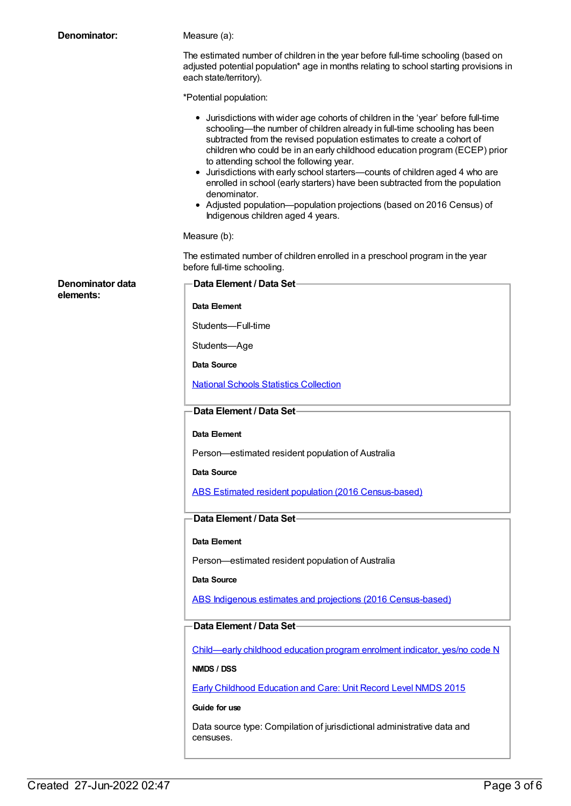| Denominator:     | Measure (a):                                                                                                                                                                                                                                                                                                                                                                                                                                                                                                                                                                                                                                                     |
|------------------|------------------------------------------------------------------------------------------------------------------------------------------------------------------------------------------------------------------------------------------------------------------------------------------------------------------------------------------------------------------------------------------------------------------------------------------------------------------------------------------------------------------------------------------------------------------------------------------------------------------------------------------------------------------|
|                  | The estimated number of children in the year before full-time schooling (based on<br>adjusted potential population* age in months relating to school starting provisions in<br>each state/territory).                                                                                                                                                                                                                                                                                                                                                                                                                                                            |
|                  | *Potential population:                                                                                                                                                                                                                                                                                                                                                                                                                                                                                                                                                                                                                                           |
|                  | • Jurisdictions with wider age cohorts of children in the 'year' before full-time<br>schooling—the number of children already in full-time schooling has been<br>subtracted from the revised population estimates to create a cohort of<br>children who could be in an early childhood education program (ECEP) prior<br>to attending school the following year.<br>• Jurisdictions with early school starters-counts of children aged 4 who are<br>enrolled in school (early starters) have been subtracted from the population<br>denominator.<br>• Adjusted population--population projections (based on 2016 Census) of<br>Indigenous children aged 4 years. |
|                  | Measure (b):                                                                                                                                                                                                                                                                                                                                                                                                                                                                                                                                                                                                                                                     |
|                  | The estimated number of children enrolled in a preschool program in the year<br>before full-time schooling.                                                                                                                                                                                                                                                                                                                                                                                                                                                                                                                                                      |
| Denominator data | Data Element / Data Set-                                                                                                                                                                                                                                                                                                                                                                                                                                                                                                                                                                                                                                         |
| elements:        | Data Element                                                                                                                                                                                                                                                                                                                                                                                                                                                                                                                                                                                                                                                     |
|                  | Students-Full-time                                                                                                                                                                                                                                                                                                                                                                                                                                                                                                                                                                                                                                               |
|                  | Students-Age                                                                                                                                                                                                                                                                                                                                                                                                                                                                                                                                                                                                                                                     |
|                  | Data Source                                                                                                                                                                                                                                                                                                                                                                                                                                                                                                                                                                                                                                                      |
|                  | <b>National Schools Statistics Collection</b>                                                                                                                                                                                                                                                                                                                                                                                                                                                                                                                                                                                                                    |
|                  | Data Element / Data Set-                                                                                                                                                                                                                                                                                                                                                                                                                                                                                                                                                                                                                                         |
|                  | Data Element                                                                                                                                                                                                                                                                                                                                                                                                                                                                                                                                                                                                                                                     |
|                  | Person-estimated resident population of Australia                                                                                                                                                                                                                                                                                                                                                                                                                                                                                                                                                                                                                |
|                  | Data Source                                                                                                                                                                                                                                                                                                                                                                                                                                                                                                                                                                                                                                                      |
|                  | ABS Estimated resident population (2016 Census-based)                                                                                                                                                                                                                                                                                                                                                                                                                                                                                                                                                                                                            |
|                  | Data Element / Data Set-                                                                                                                                                                                                                                                                                                                                                                                                                                                                                                                                                                                                                                         |
|                  | Data Element                                                                                                                                                                                                                                                                                                                                                                                                                                                                                                                                                                                                                                                     |
|                  | Person-estimated resident population of Australia                                                                                                                                                                                                                                                                                                                                                                                                                                                                                                                                                                                                                |
|                  | Data Source                                                                                                                                                                                                                                                                                                                                                                                                                                                                                                                                                                                                                                                      |
|                  | ABS Indigenous estimates and projections (2016 Census-based)                                                                                                                                                                                                                                                                                                                                                                                                                                                                                                                                                                                                     |
|                  | Data Element / Data Set-                                                                                                                                                                                                                                                                                                                                                                                                                                                                                                                                                                                                                                         |
|                  | Child—early childhood education program enrolment indicator, yes/no code N                                                                                                                                                                                                                                                                                                                                                                                                                                                                                                                                                                                       |
|                  | NMDS / DSS                                                                                                                                                                                                                                                                                                                                                                                                                                                                                                                                                                                                                                                       |
|                  | <b>Early Childhood Education and Care: Unit Record Level NMDS 2015</b>                                                                                                                                                                                                                                                                                                                                                                                                                                                                                                                                                                                           |
|                  | Guide for use                                                                                                                                                                                                                                                                                                                                                                                                                                                                                                                                                                                                                                                    |
|                  | Data source type: Compilation of jurisdictional administrative data and<br>censuses.                                                                                                                                                                                                                                                                                                                                                                                                                                                                                                                                                                             |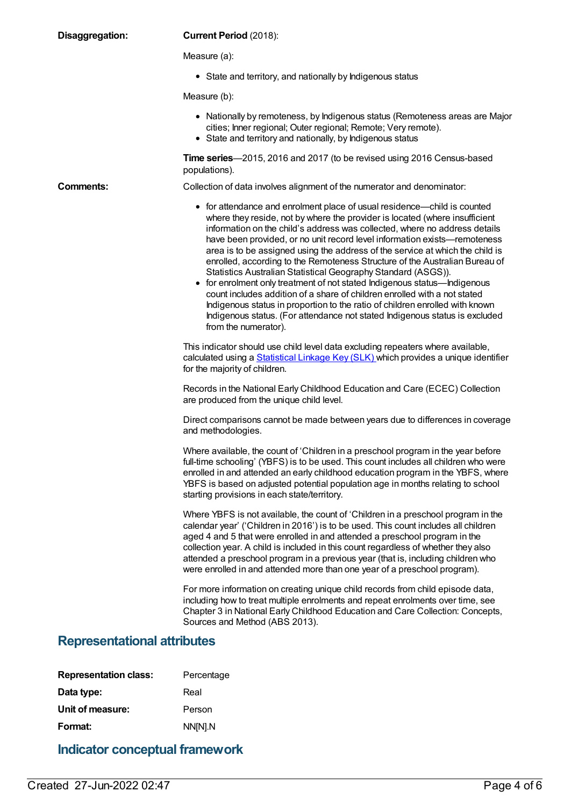| Disaggregation:                    | <b>Current Period (2018):</b>                                                                                                                                                                                                                                                                                                                                                                                                                                                                                                                                                                                                                                                                                                                                                                                                                                                                      |
|------------------------------------|----------------------------------------------------------------------------------------------------------------------------------------------------------------------------------------------------------------------------------------------------------------------------------------------------------------------------------------------------------------------------------------------------------------------------------------------------------------------------------------------------------------------------------------------------------------------------------------------------------------------------------------------------------------------------------------------------------------------------------------------------------------------------------------------------------------------------------------------------------------------------------------------------|
|                                    | Measure (a):                                                                                                                                                                                                                                                                                                                                                                                                                                                                                                                                                                                                                                                                                                                                                                                                                                                                                       |
|                                    | • State and territory, and nationally by Indigenous status                                                                                                                                                                                                                                                                                                                                                                                                                                                                                                                                                                                                                                                                                                                                                                                                                                         |
|                                    | Measure (b):                                                                                                                                                                                                                                                                                                                                                                                                                                                                                                                                                                                                                                                                                                                                                                                                                                                                                       |
|                                    | • Nationally by remoteness, by Indigenous status (Remoteness areas are Major<br>cities; Inner regional; Outer regional; Remote; Very remote).<br>• State and territory and nationally, by Indigenous status                                                                                                                                                                                                                                                                                                                                                                                                                                                                                                                                                                                                                                                                                        |
|                                    | Time series-2015, 2016 and 2017 (to be revised using 2016 Census-based<br>populations).                                                                                                                                                                                                                                                                                                                                                                                                                                                                                                                                                                                                                                                                                                                                                                                                            |
| <b>Comments:</b>                   | Collection of data involves alignment of the numerator and denominator:                                                                                                                                                                                                                                                                                                                                                                                                                                                                                                                                                                                                                                                                                                                                                                                                                            |
|                                    | • for attendance and enrolment place of usual residence—child is counted<br>where they reside, not by where the provider is located (where insufficient<br>information on the child's address was collected, where no address details<br>have been provided, or no unit record level information exists-remoteness<br>area is to be assigned using the address of the service at which the child is<br>enrolled, according to the Remoteness Structure of the Australian Bureau of<br>Statistics Australian Statistical Geography Standard (ASGS)).<br>for enrolment only treatment of not stated Indigenous status—Indigenous<br>count includes addition of a share of children enrolled with a not stated<br>Indigenous status in proportion to the ratio of children enrolled with known<br>Indigenous status. (For attendance not stated Indigenous status is excluded<br>from the numerator). |
|                                    | This indicator should use child level data excluding repeaters where available,<br>calculated using a Statistical Linkage Key (SLK) which provides a unique identifier<br>for the majority of children.                                                                                                                                                                                                                                                                                                                                                                                                                                                                                                                                                                                                                                                                                            |
|                                    | Records in the National Early Childhood Education and Care (ECEC) Collection<br>are produced from the unique child level.                                                                                                                                                                                                                                                                                                                                                                                                                                                                                                                                                                                                                                                                                                                                                                          |
|                                    | Direct comparisons cannot be made between years due to differences in coverage<br>and methodologies.                                                                                                                                                                                                                                                                                                                                                                                                                                                                                                                                                                                                                                                                                                                                                                                               |
|                                    | Where available, the count of 'Children in a preschool program in the year before<br>full-time schooling' (YBFS) is to be used. This count includes all children who were<br>enrolled in and attended an early childhood education program in the YBFS, where<br>YBFS is based on adjusted potential population age in months relating to school<br>starting provisions in each state/territory.                                                                                                                                                                                                                                                                                                                                                                                                                                                                                                   |
|                                    | Where YBFS is not available, the count of 'Children in a preschool program in the<br>calendar year' ('Children in 2016') is to be used. This count includes all children<br>aged 4 and 5 that were enrolled in and attended a preschool program in the<br>collection year. A child is included in this count regardless of whether they also<br>attended a preschool program in a previous year (that is, including children who<br>were enrolled in and attended more than one year of a preschool program).                                                                                                                                                                                                                                                                                                                                                                                      |
|                                    | For more information on creating unique child records from child episode data,<br>including how to treat multiple enrolments and repeat enrolments over time, see<br>Chapter 3 in National Early Childhood Education and Care Collection: Concepts,<br>Sources and Method (ABS 2013).                                                                                                                                                                                                                                                                                                                                                                                                                                                                                                                                                                                                              |
| <b>Representational attributes</b> |                                                                                                                                                                                                                                                                                                                                                                                                                                                                                                                                                                                                                                                                                                                                                                                                                                                                                                    |
| <b>Representation class:</b>       | Percentage                                                                                                                                                                                                                                                                                                                                                                                                                                                                                                                                                                                                                                                                                                                                                                                                                                                                                         |
| Data type:                         | Real                                                                                                                                                                                                                                                                                                                                                                                                                                                                                                                                                                                                                                                                                                                                                                                                                                                                                               |
| Unit of measure:                   | Person                                                                                                                                                                                                                                                                                                                                                                                                                                                                                                                                                                                                                                                                                                                                                                                                                                                                                             |

**Format:** NN[N].N **Indicator conceptual framework**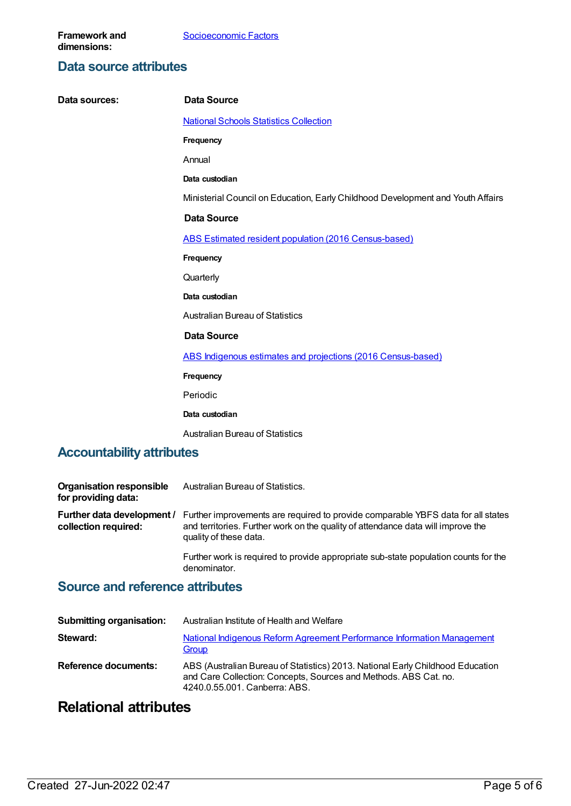#### **Data source attributes**

| Data sources:                    | <b>Data Source</b>                                                              |
|----------------------------------|---------------------------------------------------------------------------------|
|                                  | <b>National Schools Statistics Collection</b>                                   |
|                                  | Frequency                                                                       |
|                                  | Annual                                                                          |
|                                  | Data custodian                                                                  |
|                                  | Ministerial Council on Education, Early Childhood Development and Youth Affairs |
|                                  | <b>Data Source</b>                                                              |
|                                  | ABS Estimated resident population (2016 Census-based)                           |
|                                  | Frequency                                                                       |
|                                  | Quarterly                                                                       |
|                                  | Data custodian                                                                  |
|                                  | <b>Australian Bureau of Statistics</b>                                          |
|                                  | <b>Data Source</b>                                                              |
|                                  | ABS Indigenous estimates and projections (2016 Census-based)                    |
|                                  | Frequency                                                                       |
|                                  | Periodic                                                                        |
|                                  | Data custodian                                                                  |
|                                  | <b>Australian Bureau of Statistics</b>                                          |
| <b>Accountability attributes</b> |                                                                                 |

| <b>Organisation responsible</b><br>for providing data: | Australian Bureau of Statistics.                                                                                                                                                               |
|--------------------------------------------------------|------------------------------------------------------------------------------------------------------------------------------------------------------------------------------------------------|
| Further data development /<br>collection required:     | Further improvements are required to provide comparable YBFS data for all states<br>and territories. Further work on the quality of attendance data will improve the<br>quality of these data. |
|                                                        | Further work is required to provide appropriate sub-state population counts for the<br>denominator.                                                                                            |

## **Source and reference attributes**

| <b>Submitting organisation:</b> | Australian Institute of Health and Welfare                                                                                                                                          |
|---------------------------------|-------------------------------------------------------------------------------------------------------------------------------------------------------------------------------------|
| Steward:                        | National Indigenous Reform Agreement Performance Information Management<br>Group                                                                                                    |
| Reference documents:            | ABS (Australian Bureau of Statistics) 2013. National Early Childhood Education<br>and Care Collection: Concepts, Sources and Methods. ABS Cat. no.<br>4240.0.55.001. Canberra: ABS. |

# **Relational attributes**